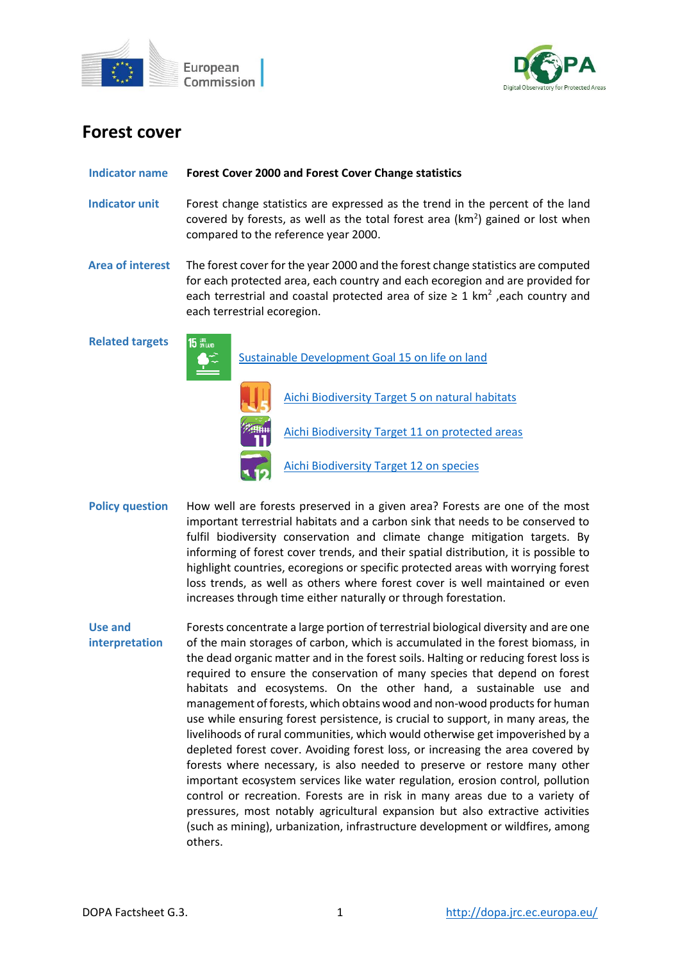



# **Forest cover**

#### **Indicator name Forest Cover 2000 and Forest Cover Change statistics**

- **Indicator unit** Forest change statistics are expressed as the trend in the percent of the land covered by forests, as well as the total forest area ( $km<sup>2</sup>$ ) gained or lost when compared to the reference year 2000.
- **Area of interest** The forest cover for the year 2000 and the forest change statistics are computed for each protected area, each country and each ecoregion and are provided for each terrestrial and coastal protected area of size  $\geq 1$  km<sup>2</sup>, each country and each terrestrial ecoregion.

**Related targets**



- **Policy question** How well are forests preserved in a given area? Forests are one of the most important terrestrial habitats and a carbon sink that needs to be conserved to fulfil biodiversity conservation and climate change mitigation targets. By informing of forest cover trends, and their spatial distribution, it is possible to highlight countries, ecoregions or specific protected areas with worrying forest loss trends, as well as others where forest cover is well maintained or even increases through time either naturally or through forestation.
- **Use and interpretation** Forests concentrate a large portion of terrestrial biological diversity and are one of the main storages of carbon, which is accumulated in the forest biomass, in the dead organic matter and in the forest soils. Halting or reducing forest loss is required to ensure the conservation of many species that depend on forest habitats and ecosystems. On the other hand, a sustainable use and management of forests, which obtains wood and non-wood products for human use while ensuring forest persistence, is crucial to support, in many areas, the livelihoods of rural communities, which would otherwise get impoverished by a depleted forest cover. Avoiding forest loss, or increasing the area covered by forests where necessary, is also needed to preserve or restore many other important ecosystem services like water regulation, erosion control, pollution control or recreation. Forests are in risk in many areas due to a variety of pressures, most notably agricultural expansion but also extractive activities (such as mining), urbanization, infrastructure development or wildfires, among others.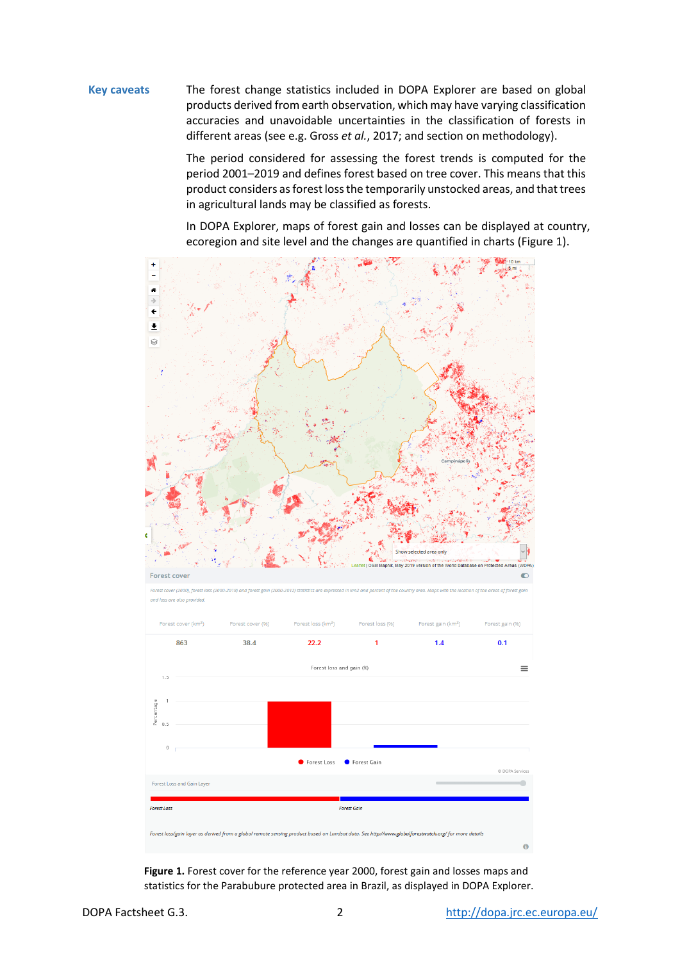# **Key caveats** The forest change statistics included in DOPA Explorer are based on global products derived from earth observation, which may have varying classification accuracies and unavoidable uncertainties in the classification of forests in different areas (see e.g. Gross *et al.*, 2017; and section on methodology).

The period considered for assessing the forest trends is computed for the period 2001–2019 and defines forest based on tree cover. This means that this product considers as forest loss the temporarily unstocked areas, and that trees in agricultural lands may be classified as forests.

In DOPA Explorer, maps of forest gain and losses can be displayed at country, ecoregion and site level and the changes are quantified in charts (Figure 1).



**Figure 1.** Forest cover for the reference year 2000, forest gain and losses maps and statistics for the Parabubure protected area in Brazil, as displayed in DOPA Explorer.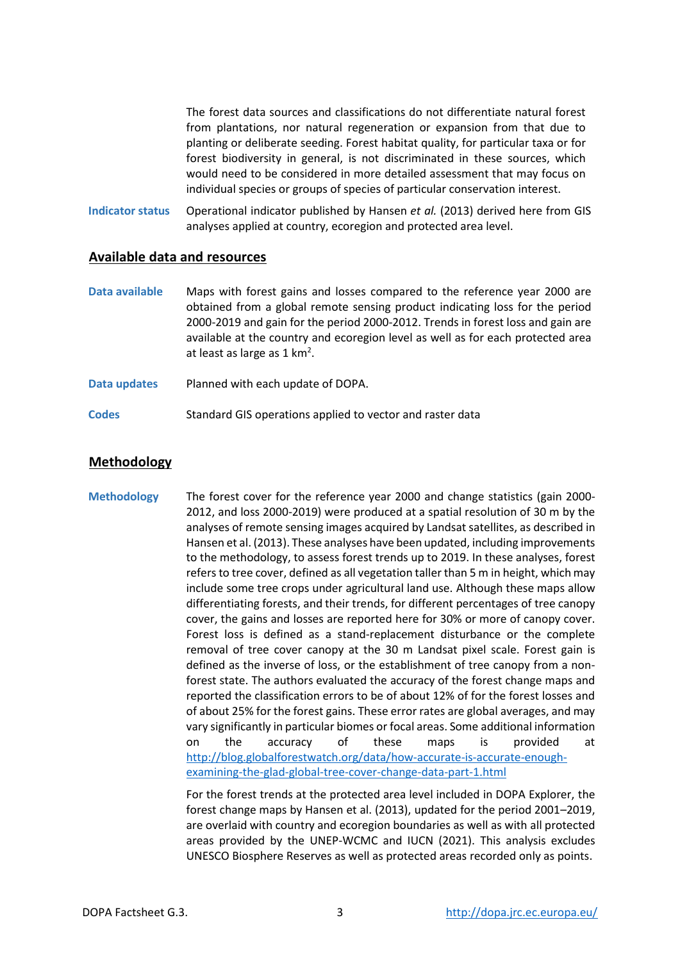The forest data sources and classifications do not differentiate natural forest from plantations, nor natural regeneration or expansion from that due to planting or deliberate seeding. Forest habitat quality, for particular taxa or for forest biodiversity in general, is not discriminated in these sources, which would need to be considered in more detailed assessment that may focus on individual species or groups of species of particular conservation interest.

**Indicator status** Operational indicator published by Hansen *et al.* (2013) derived here from GIS analyses applied at country, ecoregion and protected area level.

## **Available data and resources**

- **Data available** Maps with forest gains and losses compared to the reference year 2000 are obtained from a global remote sensing product indicating loss for the period 2000-2019 and gain for the period 2000-2012. Trends in forest loss and gain are available at the country and ecoregion level as well as for each protected area at least as large as 1 km<sup>2</sup>.
- **Data updates** Planned with each update of DOPA.
- **Codes** Standard GIS operations applied to vector and raster data

## **Methodology**

**Methodology** The forest cover for the reference year 2000 and change statistics (gain 2000- 2012, and loss 2000-2019) were produced at a spatial resolution of 30 m by the analyses of remote sensing images acquired by Landsat satellites, as described in Hansen et al. (2013). These analyses have been updated, including improvements to the methodology, to assess forest trends up to 2019. In these analyses, forest refers to tree cover, defined as all vegetation taller than 5 m in height, which may include some tree crops under agricultural land use. Although these maps allow differentiating forests, and their trends, for different percentages of tree canopy cover, the gains and losses are reported here for 30% or more of canopy cover. Forest loss is defined as a stand-replacement disturbance or the complete removal of tree cover canopy at the 30 m Landsat pixel scale. Forest gain is defined as the inverse of loss, or the establishment of tree canopy from a nonforest state. The authors evaluated the accuracy of the forest change maps and reported the classification errors to be of about 12% of for the forest losses and of about 25% for the forest gains. These error rates are global averages, and may vary significantly in particular biomes or focal areas. Some additional information on the accuracy of these maps is provided at [http://blog.globalforestwatch.org/data/how-accurate-is-accurate-enough](http://blog.globalforestwatch.org/data/how-accurate-is-accurate-enough-examining-the-glad-global-tree-cover-change-data-part-1.html)[examining-the-glad-global-tree-cover-change-data-part-1.html](http://blog.globalforestwatch.org/data/how-accurate-is-accurate-enough-examining-the-glad-global-tree-cover-change-data-part-1.html)

> For the forest trends at the protected area level included in DOPA Explorer, the forest change maps by Hansen et al. (2013), updated for the period 2001–2019, are overlaid with country and ecoregion boundaries as well as with all protected areas provided by the UNEP-WCMC and IUCN (2021). This analysis excludes UNESCO Biosphere Reserves as well as protected areas recorded only as points.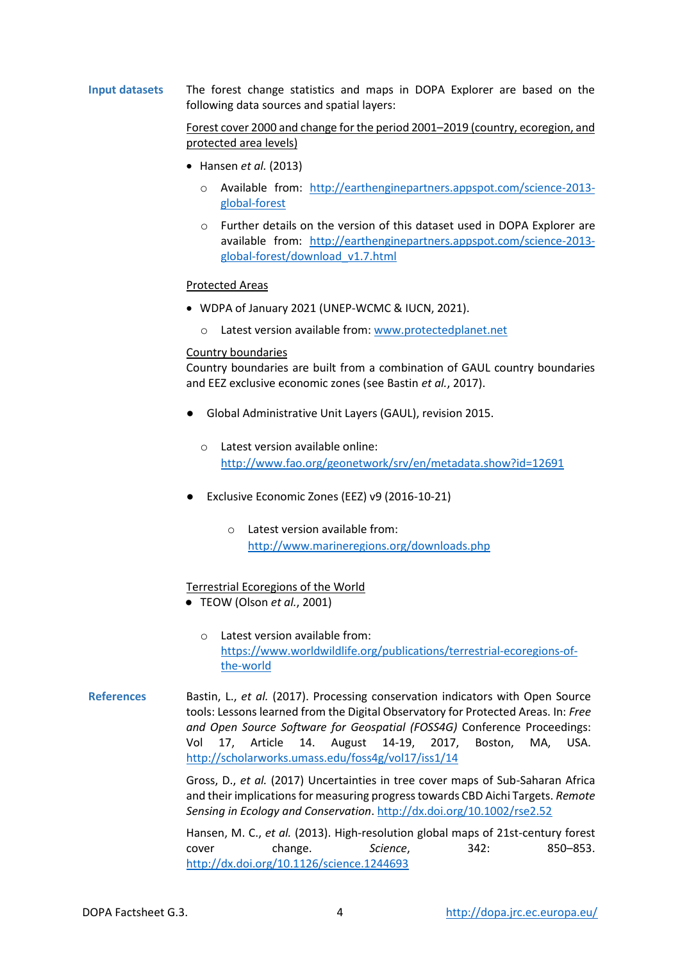## **Input datasets** The forest change statistics and maps in DOPA Explorer are based on the following data sources and spatial layers:

## Forest cover 2000 and change for the period 2001–2019 (country, ecoregion, and protected area levels)

- Hansen *et al.* (2013)
	- o Available from: [http://earthenginepartners.appspot.com/science-2013](http://earthenginepartners.appspot.com/science-2013-global-forest) [global-forest](http://earthenginepartners.appspot.com/science-2013-global-forest)
	- o Further details on the version of this dataset used in DOPA Explorer are available from: [http://earthenginepartners.appspot.com/science-2013](http://earthenginepartners.appspot.com/science-2013-global-forest/download_v1.7.html) [global-forest/download\\_v1.7.html](http://earthenginepartners.appspot.com/science-2013-global-forest/download_v1.7.html)

#### Protected Areas

- WDPA of January 2021 (UNEP-WCMC & IUCN, 2021).
	- o Latest version available from[: www.protectedplanet.net](http://www.protectedplanet.net/)

#### Country boundaries

Country boundaries are built from a combination of GAUL country boundaries and EEZ exclusive economic zones (see Bastin *et al.*, 2017).

- Global Administrative Unit Layers (GAUL), revision 2015.
	- o Latest version available online: <http://www.fao.org/geonetwork/srv/en/metadata.show?id=12691>
- Exclusive Economic Zones (EEZ) v9 (2016-10-21)
	- o Latest version available from: <http://www.marineregions.org/downloads.php>

#### Terrestrial Ecoregions of the World

- TEOW (Olson *et al.*, 2001)
	- o Latest version available from: [https://www.worldwildlife.org/publications/terrestrial-ecoregions-of](https://www.worldwildlife.org/publications/terrestrial-ecoregions-of-the-world)[the-world](https://www.worldwildlife.org/publications/terrestrial-ecoregions-of-the-world)
- **References** Bastin, L., *et al.* (2017). Processing conservation indicators with Open Source tools: Lessons learned from the Digital Observatory for Protected Areas. In: *Free and Open Source Software for Geospatial (FOSS4G)* Conference Proceedings: Vol 17, Article 14. August 14-19, 2017, Boston, MA, USA. <http://scholarworks.umass.edu/foss4g/vol17/iss1/14>

Gross, D., *et al.* (2017) Uncertainties in tree cover maps of Sub-Saharan Africa and their implications for measuring progress towards CBD Aichi Targets. *Remote Sensing in Ecology and Conservation*.<http://dx.doi.org/10.1002/rse2.52>

Hansen, M. C., *et al.* (2013). High-resolution global maps of 21st-century forest cover change. *Science*, 342: 850–853. <http://dx.doi.org/10.1126/science.1244693>